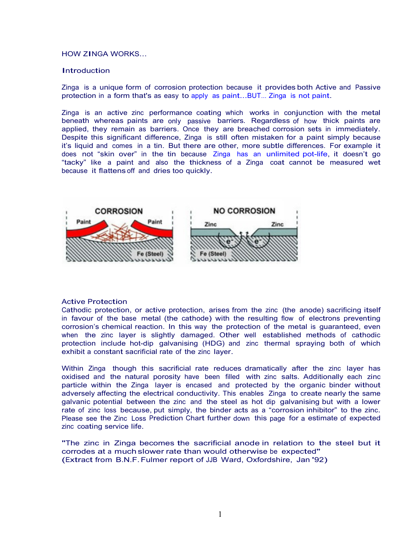## HOW ZINGA WORKS...

### **Introduction**

Zinga is a unique form of corrosion protection because it provides both Active and Passive protection in a form that's as easy to apply as paint...BUT… Zinga is not paint.

Zinga is an active zinc performance coating which works in conjunction with the metal beneath whereas paints are only passive barriers. Regardless of how thick paints are applied, they remain as barriers. Once they are breached corrosion sets in immediately. Despite this significant difference, Zinga is still often mistaken for a paint simply because it's liquid and comes in a tin. But there are other, more subtle differences. For example it does not "skin over" in the tin because Zinga has an unlimited pot-life, it doesn't go "tacky" like a paint and also the thickness of a Zinga coat cannot be measured wet because it flattens off and dries too quickly.



#### Active Protection

Cathodic protection, or active protection, arises from the zinc (the anode) sacrificing itself in favour of the base metal (the cathode) with the resulting flow of electrons preventing corrosion's chemical reaction. In this way the protection of the metal is guaranteed, even when the zinc layer is slightly damaged. Other well established methods of cathodic protection include hot-dip galvanising (HDG) and zinc thermal spraying both of which exhibit a constant sacrificial rate of the zinc layer.

Within Zinga though this sacrificial rate reduces dramatically after the zinc layer has oxidised and the natural porosity have been filled with zinc salts. Additionally each zinc particle within the Zinga layer is encased and protected by the organic binder without adversely affecting the electrical conductivity. This enables Zinga to create nearly the same galvanic potential between the zinc and the steel as hot dip galvanising but with a lower rate of zinc loss because, put simply, the binder acts as a "corrosion inhibitor" to the zinc. Please see the Zinc Loss Prediction Chart further down this page for a estimate of expected zinc coating service life.

"The zinc in Zinga becomes the sacrificial anode in relation to the steel but it corrodes at a much slower rate than would otherwise be expected" (Extract from B.N.F. Fulmer report of JJB Ward, Oxfordshire, Jan '92)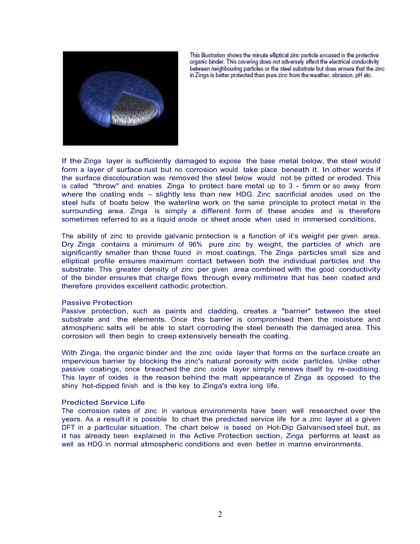

This illustration shows the minute elliptical zinc particle encased in the protective<br>organic binder. This covering does not adversely affect the electrical conductivity between neighbouring particles or the steel substrate but does ensure that the zinc in Zinga is better protected than pure zinc from the weather, abrasion, pH etc.

If the Zinga layer is sufficiently damaged to expose the base metal below, the steel would form a layer of surface rust but no corrosion would take place beneath it. In other words if the surface discolouration was removed the steel below would not be pitted or eroded. This is called "throw" and enables Zinga to protect bare metal up to 3 - 5mm or so away from where the coating ends – slightly less than new HDG. Zinc sacrificial anodes used on the steel hulls of boats below the waterline work on the same principle to protect metal in the surrounding area. Zinga is simply a different form of these anodes and is therefore sometimes referred to as a liquid anode or sheet anode when used in immersed conditions.

The ability of zinc to provide galvanic protection is a function of it's weight per given area.<br>Dry Zinga contains a minimum of 96% pure zinc by weight, the particles of which are significantly smaller than those found in most coatings. The Zinga particles small size and elliptical profile ensures maximum contact between both the individual particles and the substrate. This greater density of zinc per given area combined with the good conductivity of the binder ensures that charge flows through every millimetre that has been coated and therefore provides excellent cathodic protection.

#### Passive Protection

Passive protection, such as paints and cladding, creates a "barrier" between the steel substrate and the elements. Once this barrier is compromised then the moisture and atmospheric salts will be able to start corroding the steel beneath the damaged area. This corrosion will then begin to creep extensively beneath the coating.

With Zinga, the organic binder and the zinc oxide layer that forms on the surface create an impervious barrier by blocking the zinc's natural porosity with oxide particles. Unlike other passive coatings, once breached the zinc oxide layer simply renews itself by re-oxidising. This layer of oxides is the reason behind the matt appearance of Zinga as opposed to the shiny hot-dipped finish and is the key to Zinga's extra long life.

#### Predicted Service Life

The corrosion rates of zinc in various environments have been well researched over the years. As a result it is possible to chart the predicted service life for a zinc layer at a given DFT in a particular situation. The chart below is based on Hot-Dip Galvanised steel but, as it has already been explained in the Active Protection section, Zinga performs at least as well as HDG in normal atmospheric conditions and even better in marine environments.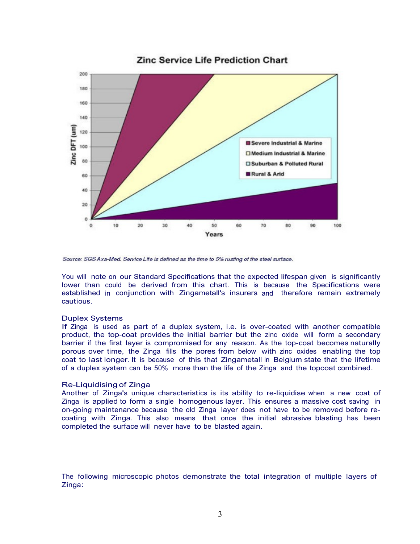

Source: SGS Axa-Med. Service Life is defined as the time to 5% rusting of the steel surface.

You will note on our Standard Specifications that the expected lifespan given is significantly lower than could be derived from this chart. This is because the Specifications were established in conjunction with Zingametall's insurers and therefore remain extremely cautious.

## Duplex Systems

If Zinga is used as part of a duplex system, i.e. is over-coated with another compatible product, the top-coat provides the initial barrier but the zinc oxide will form a secondary barrier if the first layer is compromised for any reason. As the top-coat becomes naturally porous over time, the Zinga fills the pores from below with zinc oxides enabling the top coat to last longer. It is because of this that Zingametall in Belgium state that the lifetime of a duplex system can be 50% more than the life of the Zinga and the topcoat combined.

## Re-Liquidising of Zinga

Another of Zinga's unique characteristics is its ability to re-liquidise when a new coat of Zinga is applied to form a single homogenous layer. This ensures a massive cost saving in on-going maintenance because the old Zinga layer does not have to be removed before re- coating with Zinga. This also means that once the initial abrasive blasting has been completed the surface will never have to be blasted again.

The following microscopic photos demonstrate the total integration of multiple layers of Zinga: